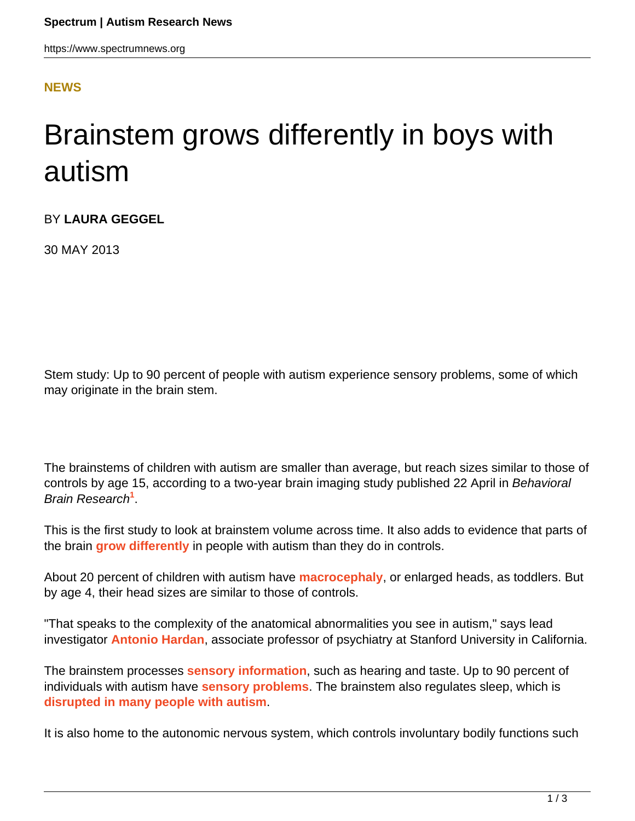## **[NEWS](HTTPS://WWW.SPECTRUMNEWS.ORG/NEWS/)**

## Brainstem grows differently in boys with autism

BY **LAURA GEGGEL**

30 MAY 2013

Stem study: Up to 90 percent of people with autism experience sensory problems, some of which may originate in the brain stem.

The brainstems of children with autism are smaller than average, but reach sizes similar to those of controls by age 15, according to a two-year brain imaging study published 22 April in Behavioral Brain Research**<sup>1</sup>** .

This is the first study to look at brainstem volume across time. It also adds to evidence that parts of the brain **[grow differently](https://www.spectrumnews.org/news/2009/autism-marked-by-altered-trajectory-of-brain-growth)** in people with autism than they do in controls.

About 20 percent of children with autism have **[macrocephaly](https://www.spectrumnews.org/wiki/macrocephaly)**, or enlarged heads, as toddlers. But by age 4, their head sizes are similar to those of controls.

"That speaks to the complexity of the anatomical abnormalities you see in autism," says lead investigator **[Antonio Hardan](http://med.stanford.edu/profiles/Antonio_Hardan/)**, associate professor of psychiatry at Stanford University in California.

The brainstem processes **[sensory information](https://www.spectrumnews.org/viewpoint/2011/treatments-needed-for-severe-sensory-sensitivity)**, such as hearing and taste. Up to 90 percent of individuals with autism have **[sensory problems](https://www.spectrumnews.org/blog/2009/making-sense-of-senses)**. The brainstem also regulates sleep, which is **[disrupted in many people with autism](https://www.spectrumnews.org/blog/2011/the-big-sleep)**.

It is also home to the autonomic nervous system, which controls involuntary bodily functions such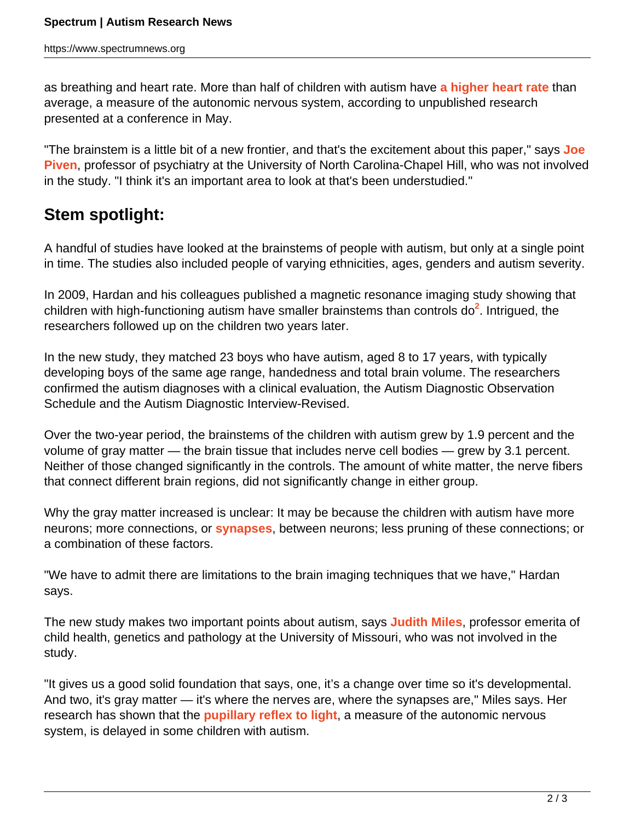as breathing and heart rate. More than half of children with autism have **[a higher heart rate](https://www.spectrumnews.org/conference-news/2013/international-meeting-for-autism-research-2013/study-links-pupillary-reflex-heart-rate-in-autism)** than average, a measure of the autonomic nervous system, according to unpublished research presented at a conference in May.

"The brainstem is a little bit of a new frontier, and that's the excitement about this paper," says **[Joe](http://sfari.org/author/?author=https://id.simonsfoundation.org/josephpiven) [Piven](http://sfari.org/author/?author=https://id.simonsfoundation.org/josephpiven)**, professor of psychiatry at the University of North Carolina-Chapel Hill, who was not involved in the study. "I think it's an important area to look at that's been understudied."

## **Stem spotlight:**

A handful of studies have looked at the brainstems of people with autism, but only at a single point in time. The studies also included people of varying ethnicities, ages, genders and autism severity.

In 2009, Hardan and his colleagues published a magnetic resonance imaging study showing that children with high-functioning autism have smaller brainstems than controls do<sup>2</sup>. Intrigued, the researchers followed up on the children two years later.

In the new study, they matched 23 boys who have autism, aged 8 to 17 years, with typically developing boys of the same age range, handedness and total brain volume. The researchers confirmed the autism diagnoses with a clinical evaluation, the Autism Diagnostic Observation Schedule and the Autism Diagnostic Interview-Revised.

Over the two-year period, the brainstems of the children with autism grew by 1.9 percent and the volume of gray matter — the brain tissue that includes nerve cell bodies — grew by 3.1 percent. Neither of those changed significantly in the controls. The amount of white matter, the nerve fibers that connect different brain regions, did not significantly change in either group.

Why the gray matter increased is unclear: It may be because the children with autism have more neurons; more connections, or **[synapses](https://www.spectrumnews.org/wiki/synapse)**, between neurons; less pruning of these connections; or a combination of these factors.

"We have to admit there are limitations to the brain imaging techniques that we have," Hardan says.

The new study makes two important points about autism, says **[Judith Miles](http://sfari.org/author/?author=https://id.simonsfoundation.org/judithmiles)**, professor emerita of child health, genetics and pathology at the University of Missouri, who was not involved in the study.

"It gives us a good solid foundation that says, one, it's a change over time so it's developmental. And two, it's gray matter — it's where the nerves are, where the synapses are," Miles says. Her research has shown that the **[pupillary reflex to light](https://www.spectrumnews.org/news/2009/pupil-response-to-light-could-be-biomarker-for-autism)**, a measure of the autonomic nervous system, is delayed in some children with autism.